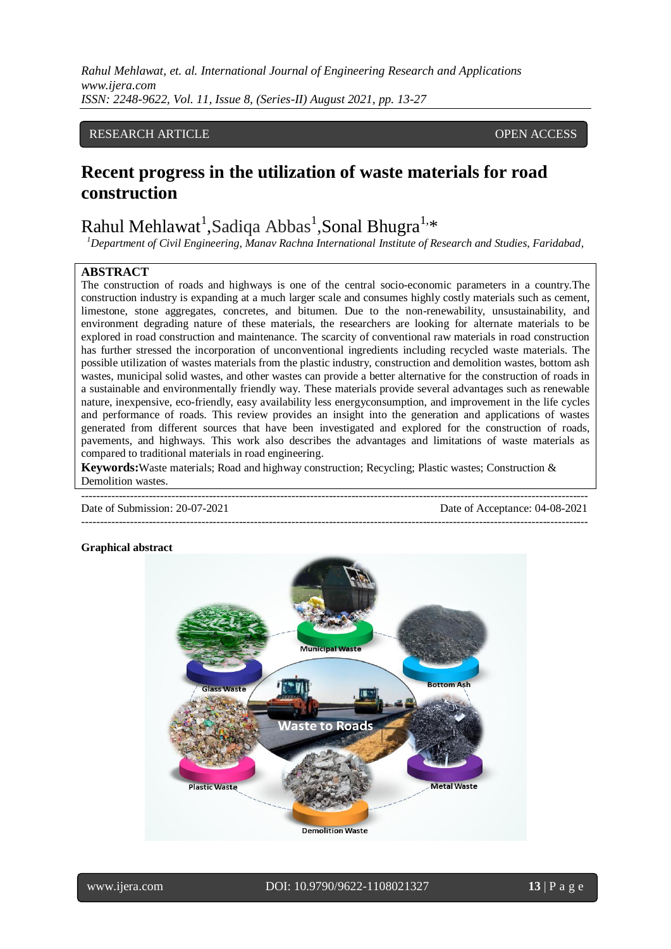*Rahul Mehlawat, et. al. International Journal of Engineering Research and Applications www.ijera.com ISSN: 2248-9622, Vol. 11, Issue 8, (Series-II) August 2021, pp. 13-27*

## RESEARCH ARTICLE **CONTRACT ARTICLE** AND THE SECOND ACCESS OPEN ACCESS OF A SECOND AND THE SECOND ASSAULT A SECOND ASSAULT AS A SECOND ASSAULT.

## **Recent progress in the utilization of waste materials for road construction**

# Rahul Mehlawat<sup>1</sup>,Sadiqa Abbas<sup>1</sup>,Sonal Bhugra<sup>1,</sup>\*

*<sup>1</sup>Department of Civil Engineering, Manav Rachna International Institute of Research and Studies, Faridabad,* 

#### **ABSTRACT**

The construction of roads and highways is one of the central socio-economic parameters in a country.The construction industry is expanding at a much larger scale and consumes highly costly materials such as cement, limestone, stone aggregates, concretes, and bitumen. Due to the non-renewability, unsustainability, and environment degrading nature of these materials, the researchers are looking for alternate materials to be explored in road construction and maintenance. The scarcity of conventional raw materials in road construction has further stressed the incorporation of unconventional ingredients including recycled waste materials. The possible utilization of wastes materials from the plastic industry, construction and demolition wastes, bottom ash wastes, municipal solid wastes, and other wastes can provide a better alternative for the construction of roads in a sustainable and environmentally friendly way. These materials provide several advantages such as renewable nature, inexpensive, eco-friendly, easy availability less energyconsumption, and improvement in the life cycles and performance of roads. This review provides an insight into the generation and applications of wastes generated from different sources that have been investigated and explored for the construction of roads, pavements, and highways. This work also describes the advantages and limitations of waste materials as compared to traditional materials in road engineering.

**Keywords:**Waste materials; Road and highway construction; Recycling; Plastic wastes; Construction & Demolition wastes.

--------------------------------------------------------------------------------------------------------------------------------------- ---------------------------------------------------------------------------------------------------------------------------------------

Date of Submission: 20-07-2021 Date of Acceptance: 04-08-2021

#### **Graphical abstract**

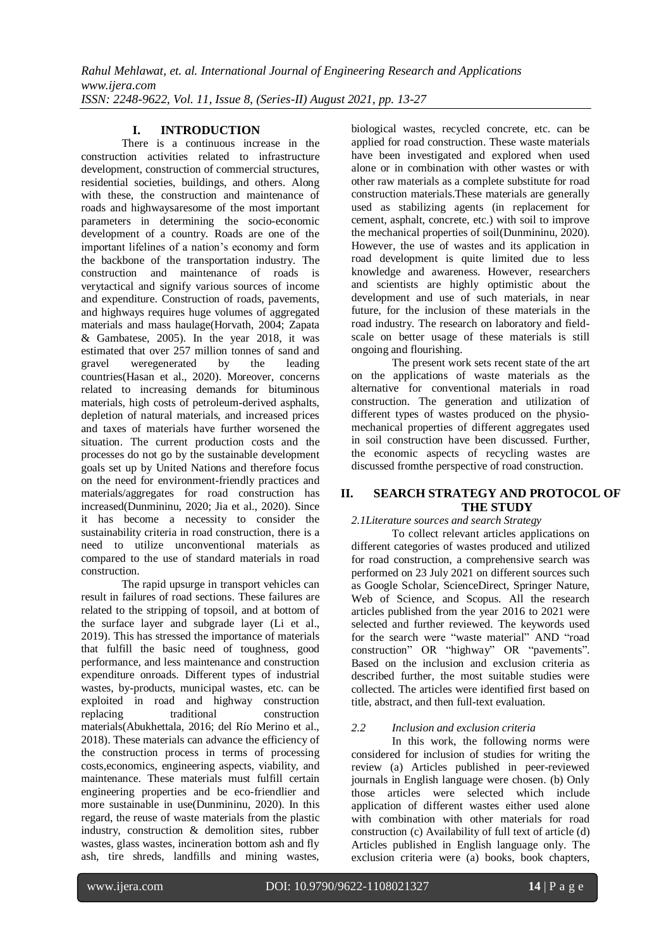## **I. INTRODUCTION**

There is a continuous increase in the construction activities related to infrastructure development, construction of commercial structures, residential societies, buildings, and others. Along with these, the construction and maintenance of roads and highwaysaresome of the most important parameters in determining the socio-economic development of a country. Roads are one of the important lifelines of a nation's economy and form the backbone of the transportation industry. The construction and maintenance of roads is verytactical and signify various sources of income and expenditure. Construction of roads, pavements, and highways requires huge volumes of aggregated materials and mass haulage(Horvath, 2004; Zapata & Gambatese, 2005). In the year 2018, it was estimated that over 257 million tonnes of sand and gravel weregenerated by the leading countries(Hasan et al., 2020). Moreover, concerns related to increasing demands for bituminous materials, high costs of petroleum-derived asphalts, depletion of natural materials, and increased prices and taxes of materials have further worsened the situation. The current production costs and the processes do not go by the sustainable development goals set up by United Nations and therefore focus on the need for environment-friendly practices and materials/aggregates for road construction has increased(Dunmininu, 2020; Jia et al., 2020). Since it has become a necessity to consider the sustainability criteria in road construction, there is a need to utilize unconventional materials as compared to the use of standard materials in road construction.

The rapid upsurge in transport vehicles can result in failures of road sections. These failures are related to the stripping of topsoil, and at bottom of the surface layer and subgrade layer (Li et al., 2019). This has stressed the importance of materials that fulfill the basic need of toughness, good performance, and less maintenance and construction expenditure onroads. Different types of industrial wastes, by-products, municipal wastes, etc. can be exploited in road and highway construction replacing traditional construction materials(Abukhettala, 2016; del Río Merino et al., 2018). These materials can advance the efficiency of the construction process in terms of processing costs,economics, engineering aspects, viability, and maintenance. These materials must fulfill certain engineering properties and be eco-friendlier and more sustainable in use(Dunmininu, 2020). In this regard, the reuse of waste materials from the plastic industry, construction & demolition sites, rubber wastes, glass wastes, incineration bottom ash and fly ash, tire shreds, landfills and mining wastes, biological wastes, recycled concrete, etc. can be applied for road construction. These waste materials have been investigated and explored when used alone or in combination with other wastes or with other raw materials as a complete substitute for road construction materials.These materials are generally used as stabilizing agents (in replacement for cement, asphalt, concrete, etc.) with soil to improve the mechanical properties of soil(Dunmininu, 2020). However, the use of wastes and its application in road development is quite limited due to less knowledge and awareness. However, researchers and scientists are highly optimistic about the development and use of such materials, in near future, for the inclusion of these materials in the road industry. The research on laboratory and fieldscale on better usage of these materials is still ongoing and flourishing.

The present work sets recent state of the art on the applications of waste materials as the alternative for conventional materials in road construction. The generation and utilization of different types of wastes produced on the physiomechanical properties of different aggregates used in soil construction have been discussed. Further, the economic aspects of recycling wastes are discussed fromthe perspective of road construction.

## **II. SEARCH STRATEGY AND PROTOCOL OF THE STUDY**

## *2.1Literature sources and search Strategy*

To collect relevant articles applications on different categories of wastes produced and utilized for road construction, a comprehensive search was performed on 23 July 2021 on different sources such as Google Scholar, ScienceDirect, Springer Nature, Web of Science, and Scopus. All the research articles published from the year 2016 to 2021 were selected and further reviewed. The keywords used for the search were "waste material" AND "road construction" OR "highway" OR "pavements". Based on the inclusion and exclusion criteria as described further, the most suitable studies were collected. The articles were identified first based on title, abstract, and then full-text evaluation.

#### *2.2 Inclusion and exclusion criteria*

In this work, the following norms were considered for inclusion of studies for writing the review (a) Articles published in peer-reviewed journals in English language were chosen. (b) Only those articles were selected which include application of different wastes either used alone with combination with other materials for road construction (c) Availability of full text of article (d) Articles published in English language only. The exclusion criteria were (a) books, book chapters,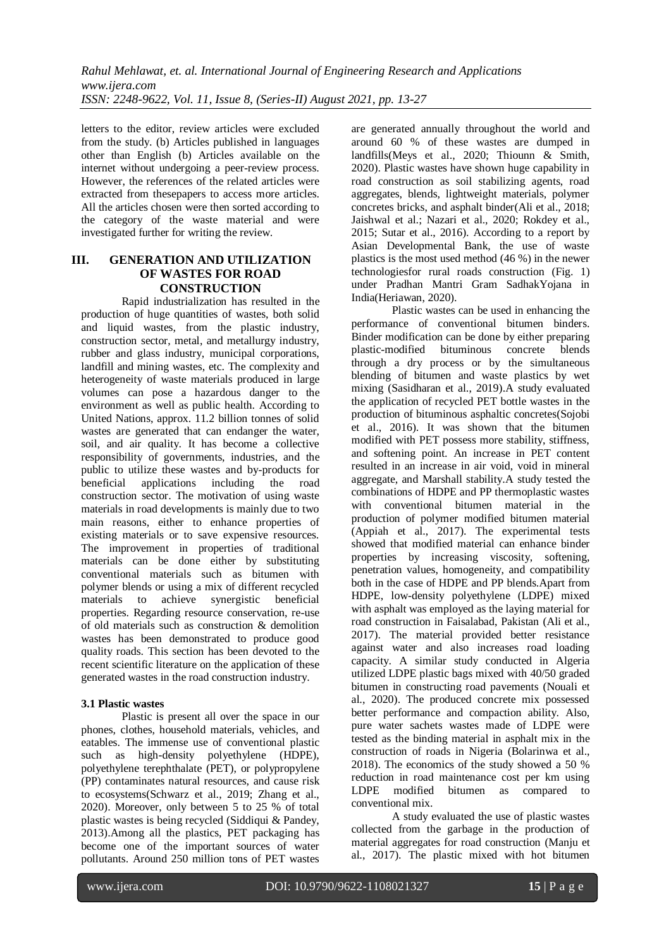letters to the editor, review articles were excluded from the study. (b) Articles published in languages other than English (b) Articles available on the internet without undergoing a peer-review process. However, the references of the related articles were extracted from thesepapers to access more articles. All the articles chosen were then sorted according to the category of the waste material and were investigated further for writing the review.

#### **III. GENERATION AND UTILIZATION OF WASTES FOR ROAD CONSTRUCTION**

Rapid industrialization has resulted in the production of huge quantities of wastes, both solid and liquid wastes, from the plastic industry, construction sector, metal, and metallurgy industry, rubber and glass industry, municipal corporations, landfill and mining wastes, etc. The complexity and heterogeneity of waste materials produced in large volumes can pose a hazardous danger to the environment as well as public health. According to United Nations, approx. 11.2 billion tonnes of solid wastes are generated that can endanger the water, soil, and air quality. It has become a collective responsibility of governments, industries, and the public to utilize these wastes and by-products for beneficial applications including the road construction sector. The motivation of using waste materials in road developments is mainly due to two main reasons, either to enhance properties of existing materials or to save expensive resources. The improvement in properties of traditional materials can be done either by substituting conventional materials such as bitumen with polymer blends or using a mix of different recycled materials to achieve synergistic beneficial properties. Regarding resource conservation, re-use of old materials such as construction & demolition wastes has been demonstrated to produce good quality roads. This section has been devoted to the recent scientific literature on the application of these generated wastes in the road construction industry.

#### **3.1 Plastic wastes**

Plastic is present all over the space in our phones, clothes, household materials, vehicles, and eatables. The immense use of conventional plastic such as high-density polyethylene (HDPE), polyethylene terephthalate (PET), or polypropylene (PP) contaminates natural resources, and cause risk to ecosystems(Schwarz et al., 2019; Zhang et al., 2020). Moreover, only between 5 to 25 % of total plastic wastes is being recycled (Siddiqui & Pandey, 2013).Among all the plastics, PET packaging has become one of the important sources of water pollutants. Around 250 million tons of PET wastes are generated annually throughout the world and around 60 % of these wastes are dumped in landfills(Meys et al., 2020; Thiounn & Smith, 2020). Plastic wastes have shown huge capability in road construction as soil stabilizing agents, road aggregates, blends, lightweight materials, polymer concretes bricks, and asphalt binder(Ali et al., 2018; Jaishwal et al.; Nazari et al., 2020; Rokdey et al., 2015; Sutar et al., 2016). According to a report by Asian Developmental Bank, the use of waste plastics is the most used method (46 %) in the newer technologiesfor rural roads construction (Fig. 1) under Pradhan Mantri Gram SadhakYojana in India(Heriawan, 2020).

Plastic wastes can be used in enhancing the performance of conventional bitumen binders. Binder modification can be done by either preparing plastic-modified bituminous concrete blends through a dry process or by the simultaneous blending of bitumen and waste plastics by wet mixing (Sasidharan et al., 2019).A study evaluated the application of recycled PET bottle wastes in the production of bituminous asphaltic concretes(Sojobi et al., 2016). It was shown that the bitumen modified with PET possess more stability, stiffness, and softening point. An increase in PET content resulted in an increase in air void, void in mineral aggregate, and Marshall stability.A study tested the combinations of HDPE and PP thermoplastic wastes with conventional bitumen material in the production of polymer modified bitumen material (Appiah et al., 2017). The experimental tests showed that modified material can enhance binder properties by increasing viscosity, softening, penetration values, homogeneity, and compatibility both in the case of HDPE and PP blends.Apart from HDPE, low-density polyethylene (LDPE) mixed with asphalt was employed as the laying material for road construction in Faisalabad, Pakistan (Ali et al., 2017). The material provided better resistance against water and also increases road loading capacity. A similar study conducted in Algeria utilized LDPE plastic bags mixed with 40/50 graded bitumen in constructing road pavements (Nouali et al., 2020). The produced concrete mix possessed better performance and compaction ability. Also, pure water sachets wastes made of LDPE were tested as the binding material in asphalt mix in the construction of roads in Nigeria (Bolarinwa et al., 2018). The economics of the study showed a 50 % reduction in road maintenance cost per km using LDPE modified bitumen as compared to conventional mix.

A study evaluated the use of plastic wastes collected from the garbage in the production of material aggregates for road construction (Manju et al., 2017). The plastic mixed with hot bitumen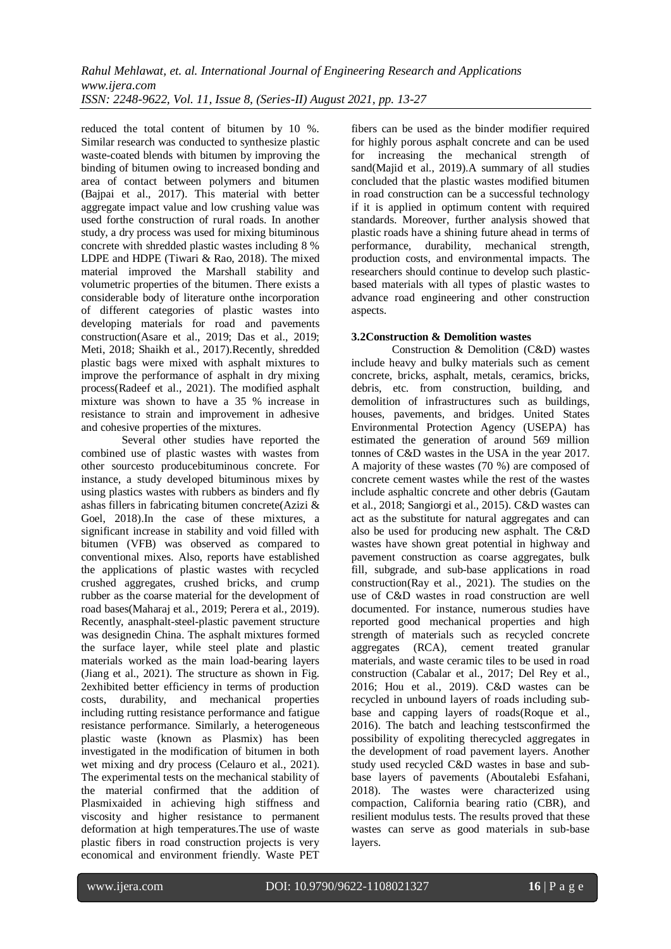reduced the total content of bitumen by 10 %. Similar research was conducted to synthesize plastic waste-coated blends with bitumen by improving the binding of bitumen owing to increased bonding and area of contact between polymers and bitumen (Bajpai et al., 2017). This material with better aggregate impact value and low crushing value was used forthe construction of rural roads. In another study, a dry process was used for mixing bituminous concrete with shredded plastic wastes including 8 % LDPE and HDPE (Tiwari & Rao, 2018). The mixed material improved the Marshall stability and volumetric properties of the bitumen. There exists a considerable body of literature onthe incorporation of different categories of plastic wastes into developing materials for road and pavements construction(Asare et al., 2019; Das et al., 2019; Meti, 2018; Shaikh et al., 2017).Recently, shredded plastic bags were mixed with asphalt mixtures to improve the performance of asphalt in dry mixing process(Radeef et al., 2021). The modified asphalt mixture was shown to have a 35 % increase in resistance to strain and improvement in adhesive and cohesive properties of the mixtures.

Several other studies have reported the combined use of plastic wastes with wastes from other sourcesto producebituminous concrete. For instance, a study developed bituminous mixes by using plastics wastes with rubbers as binders and fly ashas fillers in fabricating bitumen concrete(Azizi & Goel, 2018).In the case of these mixtures, a significant increase in stability and void filled with bitumen (VFB) was observed as compared to conventional mixes. Also, reports have established the applications of plastic wastes with recycled crushed aggregates, crushed bricks, and crump rubber as the coarse material for the development of road bases(Maharaj et al., 2019; Perera et al., 2019). Recently, anasphalt-steel-plastic pavement structure was designedin China. The asphalt mixtures formed the surface layer, while steel plate and plastic materials worked as the main load-bearing layers (Jiang et al., 2021). The structure as shown in Fig. 2exhibited better efficiency in terms of production costs, durability, and mechanical properties including rutting resistance performance and fatigue resistance performance. Similarly, a heterogeneous plastic waste (known as Plasmix) has been investigated in the modification of bitumen in both wet mixing and dry process (Celauro et al., 2021). The experimental tests on the mechanical stability of the material confirmed that the addition of Plasmixaided in achieving high stiffness and viscosity and higher resistance to permanent deformation at high temperatures.The use of waste plastic fibers in road construction projects is very economical and environment friendly. Waste PET

fibers can be used as the binder modifier required for highly porous asphalt concrete and can be used for increasing the mechanical strength of sand(Majid et al., 2019). A summary of all studies concluded that the plastic wastes modified bitumen in road construction can be a successful technology if it is applied in optimum content with required standards. Moreover, further analysis showed that plastic roads have a shining future ahead in terms of performance, durability, mechanical strength, production costs, and environmental impacts. The researchers should continue to develop such plasticbased materials with all types of plastic wastes to advance road engineering and other construction aspects.

#### **3.2Construction & Demolition wastes**

Construction & Demolition (C&D) wastes include heavy and bulky materials such as cement concrete, bricks, asphalt, metals, ceramics, bricks, debris, etc. from construction, building, and demolition of infrastructures such as buildings, houses, pavements, and bridges. United States Environmental Protection Agency (USEPA) has estimated the generation of around 569 million tonnes of C&D wastes in the USA in the year 2017. A majority of these wastes (70 %) are composed of concrete cement wastes while the rest of the wastes include asphaltic concrete and other debris (Gautam et al., 2018; Sangiorgi et al., 2015). C&D wastes can act as the substitute for natural aggregates and can also be used for producing new asphalt. The C&D wastes have shown great potential in highway and pavement construction as coarse aggregates, bulk fill, subgrade, and sub-base applications in road construction(Ray et al., 2021). The studies on the use of C&D wastes in road construction are well documented. For instance, numerous studies have reported good mechanical properties and high strength of materials such as recycled concrete aggregates (RCA), cement treated granular materials, and waste ceramic tiles to be used in road construction (Cabalar et al., 2017; Del Rey et al., 2016; Hou et al., 2019). C&D wastes can be recycled in unbound layers of roads including subbase and capping layers of roads(Roque et al., 2016). The batch and leaching testsconfirmed the possibility of expoliting therecycled aggregates in the development of road pavement layers. Another study used recycled C&D wastes in base and subbase layers of pavements (Aboutalebi Esfahani, 2018). The wastes were characterized using compaction, California bearing ratio (CBR), and resilient modulus tests. The results proved that these wastes can serve as good materials in sub-base layers.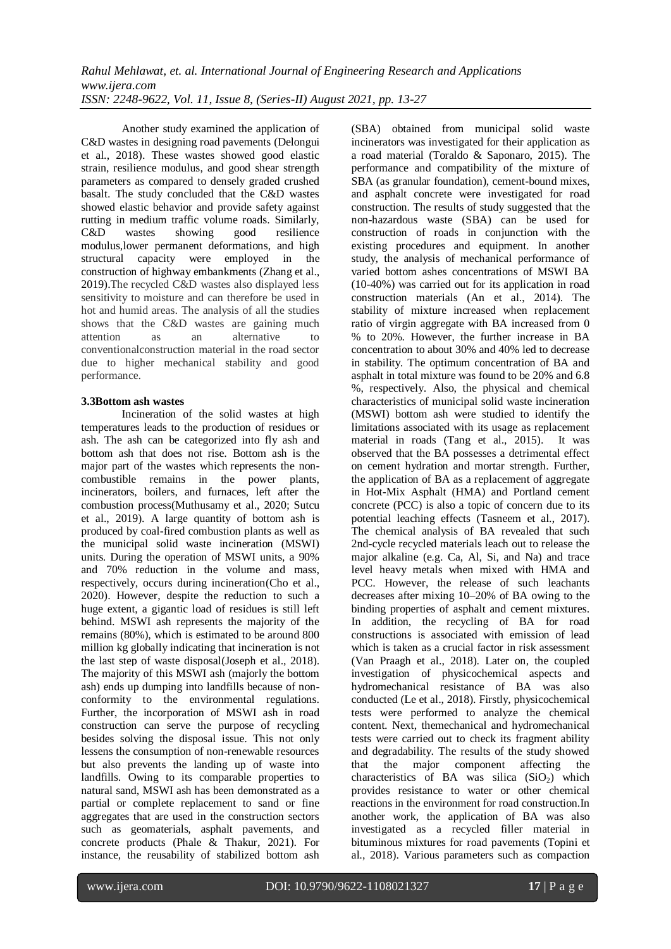Another study examined the application of C&D wastes in designing road pavements (Delongui et al., 2018). These wastes showed good elastic strain, resilience modulus, and good shear strength parameters as compared to densely graded crushed basalt. The study concluded that the C&D wastes showed elastic behavior and provide safety against rutting in medium traffic volume roads. Similarly, C&D wastes showing good resilience modulus,lower permanent deformations, and high structural capacity were employed in the construction of highway embankments (Zhang et al., 2019).The recycled C&D wastes also displayed less sensitivity to moisture and can therefore be used in hot and humid areas. The analysis of all the studies shows that the C&D wastes are gaining much attention as an alternative to conventionalconstruction material in the road sector due to higher mechanical stability and good performance.

#### **3.3Bottom ash wastes**

Incineration of the solid wastes at high temperatures leads to the production of residues or ash. The ash can be categorized into fly ash and bottom ash that does not rise. Bottom ash is the major part of the wastes which represents the noncombustible remains in the power plants, incinerators, boilers, and furnaces, left after the combustion process(Muthusamy et al., 2020; Sutcu et al., 2019). A large quantity of bottom ash is produced by coal-fired combustion plants as well as the municipal solid waste incineration (MSWI) units. During the operation of MSWI units, a 90% and 70% reduction in the volume and mass, respectively, occurs during incineration(Cho et al., 2020). However, despite the reduction to such a huge extent, a gigantic load of residues is still left behind. MSWI ash represents the majority of the remains (80%), which is estimated to be around 800 million kg globally indicating that incineration is not the last step of waste disposal(Joseph et al., 2018). The majority of this MSWI ash (majorly the bottom ash) ends up dumping into landfills because of nonconformity to the environmental regulations. Further, the incorporation of MSWI ash in road construction can serve the purpose of recycling besides solving the disposal issue. This not only lessens the consumption of non-renewable resources but also prevents the landing up of waste into landfills. Owing to its comparable properties to natural sand, MSWI ash has been demonstrated as a partial or complete replacement to sand or fine aggregates that are used in the construction sectors such as geomaterials, asphalt pavements, and concrete products (Phale & Thakur, 2021). For instance, the reusability of stabilized bottom ash

(SBA) obtained from municipal solid waste incinerators was investigated for their application as a road material (Toraldo & Saponaro, 2015). The performance and compatibility of the mixture of SBA (as granular foundation), cement-bound mixes, and asphalt concrete were investigated for road construction. The results of study suggested that the non-hazardous waste (SBA) can be used for construction of roads in conjunction with the existing procedures and equipment. In another study, the analysis of mechanical performance of varied bottom ashes concentrations of MSWI BA (10-40%) was carried out for its application in road construction materials (An et al., 2014). The stability of mixture increased when replacement ratio of virgin aggregate with BA increased from 0 % to 20%. However, the further increase in BA concentration to about 30% and 40% led to decrease in stability. The optimum concentration of BA and asphalt in total mixture was found to be 20% and 6.8 %, respectively. Also, the physical and chemical characteristics of municipal solid waste incineration (MSWI) bottom ash were studied to identify the limitations associated with its usage as replacement material in roads (Tang et al., 2015). It was observed that the BA possesses a detrimental effect on cement hydration and mortar strength. Further, the application of BA as a replacement of aggregate in Hot-Mix Asphalt (HMA) and Portland cement concrete (PCC) is also a topic of concern due to its potential leaching effects (Tasneem et al., 2017). The chemical analysis of BA revealed that such 2nd-cycle recycled materials leach out to release the major alkaline (e.g. Ca, Al, Si, and Na) and trace level heavy metals when mixed with HMA and PCC. However, the release of such leachants decreases after mixing 10–20% of BA owing to the binding properties of asphalt and cement mixtures. In addition, the recycling of BA for road constructions is associated with emission of lead which is taken as a crucial factor in risk assessment (Van Praagh et al., 2018). Later on, the coupled investigation of physicochemical aspects and hydromechanical resistance of BA was also conducted (Le et al., 2018). Firstly, physicochemical tests were performed to analyze the chemical content. Next, themechanical and hydromechanical tests were carried out to check its fragment ability and degradability. The results of the study showed that the major component affecting the characteristics of BA was silica  $(SiO<sub>2</sub>)$  which provides resistance to water or other chemical reactions in the environment for road construction.In another work, the application of BA was also investigated as a recycled filler material in bituminous mixtures for road pavements (Topini et al., 2018). Various parameters such as compaction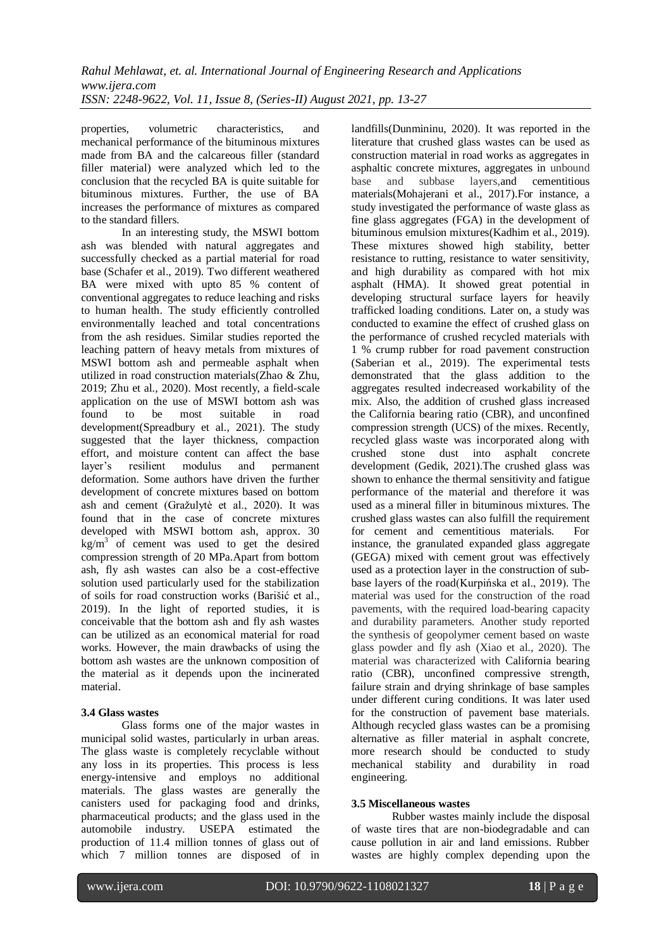properties, volumetric characteristics, and mechanical performance of the bituminous mixtures made from BA and the calcareous filler (standard filler material) were analyzed which led to the conclusion that the recycled BA is quite suitable for bituminous mixtures. Further, the use of BA increases the performance of mixtures as compared to the standard fillers.

In an interesting study, the MSWI bottom ash was blended with natural aggregates and successfully checked as a partial material for road base (Schafer et al., 2019). Two different weathered BA were mixed with upto 85 % content of conventional aggregates to reduce leaching and risks to human health. The study efficiently controlled environmentally leached and total concentrations from the ash residues. Similar studies reported the leaching pattern of heavy metals from mixtures of MSWI bottom ash and permeable asphalt when utilized in road construction materials(Zhao & Zhu, 2019; Zhu et al., 2020). Most recently, a field-scale application on the use of MSWI bottom ash was found to be most suitable in road development(Spreadbury et al., 2021). The study suggested that the layer thickness, compaction effort, and moisture content can affect the base layer's resilient modulus and permanent deformation. Some authors have driven the further development of concrete mixtures based on bottom ash and cement (Gražulytė et al., 2020). It was found that in the case of concrete mixtures developed with MSWI bottom ash, approx. 30  $kg/m<sup>3</sup>$  of cement was used to get the desired compression strength of 20 MPa.Apart from bottom ash, fly ash wastes can also be a cost-effective solution used particularly used for the stabilization of soils for road construction works (Barišić et al., 2019). In the light of reported studies, it is conceivable that the bottom ash and fly ash wastes can be utilized as an economical material for road works. However, the main drawbacks of using the bottom ash wastes are the unknown composition of the material as it depends upon the incinerated material.

## **3.4 Glass wastes**

Glass forms one of the major wastes in municipal solid wastes, particularly in urban areas. The glass waste is completely recyclable without any loss in its properties. This process is less energy-intensive and employs no additional materials. The glass wastes are generally the canisters used for packaging food and drinks, pharmaceutical products; and the glass used in the automobile industry. USEPA estimated the production of 11.4 million tonnes of glass out of which 7 million tonnes are disposed of in landfills(Dunmininu, 2020). It was reported in the literature that crushed glass wastes can be used as construction material in road works as aggregates in asphaltic concrete mixtures, aggregates in unbound base and subbase layers,and cementitious materials(Mohajerani et al., 2017).For instance, a study investigated the performance of waste glass as fine glass aggregates (FGA) in the development of bituminous emulsion mixtures(Kadhim et al., 2019). These mixtures showed high stability, better resistance to rutting, resistance to water sensitivity, and high durability as compared with hot mix  $\overline{\text{asphalt}}$  (HMA). It showed great potential in developing structural surface layers for heavily trafficked loading conditions. Later on, a study was conducted to examine the effect of crushed glass on the performance of crushed recycled materials with 1 % crump rubber for road pavement construction (Saberian et al., 2019). The experimental tests demonstrated that the glass addition to the aggregates resulted indecreased workability of the mix. Also, the addition of crushed glass increased the California bearing ratio (CBR), and unconfined compression strength (UCS) of the mixes. Recently, recycled glass waste was incorporated along with crushed stone dust into asphalt concrete development (Gedik, 2021).The crushed glass was shown to enhance the thermal sensitivity and fatigue performance of the material and therefore it was used as a mineral filler in bituminous mixtures. The crushed glass wastes can also fulfill the requirement for cement and cementitious materials. For instance, the granulated expanded glass aggregate (GEGA) mixed with cement grout was effectively used as a protection layer in the construction of subbase layers of the road(Kurpińska et al., 2019). The material was used for the construction of the road pavements, with the required load-bearing capacity and durability parameters. Another study reported the synthesis of geopolymer cement based on waste glass powder and fly ash (Xiao et al., 2020). The material was characterized with California bearing ratio (CBR), unconfined compressive strength, failure strain and drying shrinkage of base samples under different curing conditions. It was later used for the construction of pavement base materials. Although recycled glass wastes can be a promising alternative as filler material in asphalt concrete, more research should be conducted to study mechanical stability and durability in road engineering.

#### **3.5 Miscellaneous wastes**

Rubber wastes mainly include the disposal of waste tires that are non-biodegradable and can cause pollution in air and land emissions. Rubber wastes are highly complex depending upon the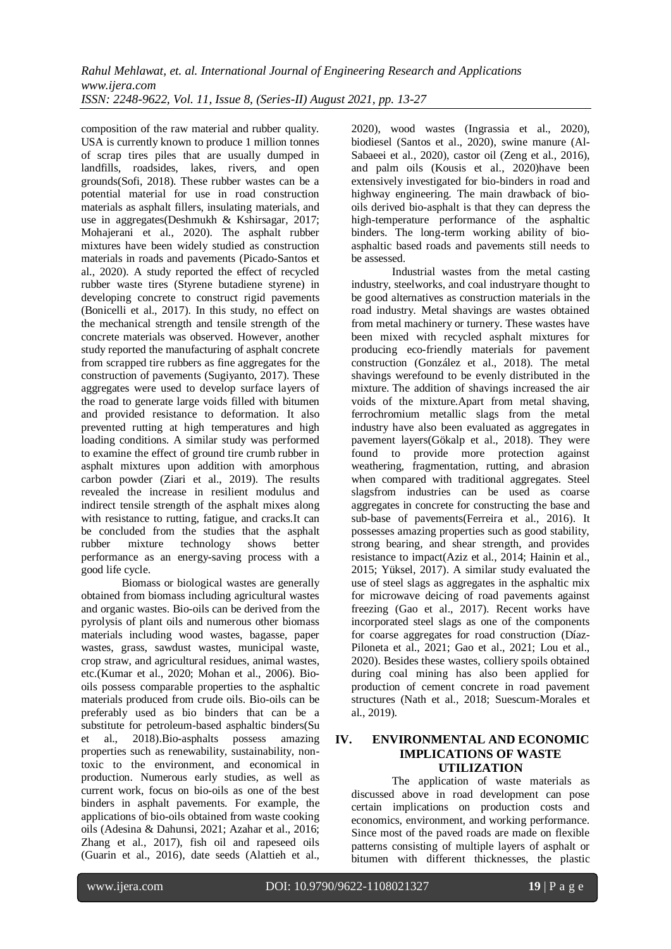composition of the raw material and rubber quality. USA is currently known to produce 1 million tonnes of scrap tires piles that are usually dumped in landfills, roadsides, lakes, rivers, and open grounds(Sofi, 2018). These rubber wastes can be a potential material for use in road construction materials as asphalt fillers, insulating materials, and use in aggregates(Deshmukh & Kshirsagar, 2017; Mohajerani et al., 2020). The asphalt rubber mixtures have been widely studied as construction materials in roads and pavements (Picado-Santos et al., 2020). A study reported the effect of recycled rubber waste tires (Styrene butadiene styrene) in developing concrete to construct rigid pavements (Bonicelli et al., 2017). In this study, no effect on the mechanical strength and tensile strength of the concrete materials was observed. However, another study reported the manufacturing of asphalt concrete from scrapped tire rubbers as fine aggregates for the construction of pavements (Sugiyanto, 2017). These aggregates were used to develop surface layers of the road to generate large voids filled with bitumen and provided resistance to deformation. It also prevented rutting at high temperatures and high loading conditions. A similar study was performed to examine the effect of ground tire crumb rubber in asphalt mixtures upon addition with amorphous carbon powder (Ziari et al., 2019). The results revealed the increase in resilient modulus and indirect tensile strength of the asphalt mixes along with resistance to rutting, fatigue, and cracks.It can be concluded from the studies that the asphalt rubber mixture technology shows better performance as an energy-saving process with a good life cycle.

Biomass or biological wastes are generally obtained from biomass including agricultural wastes and organic wastes. Bio-oils can be derived from the pyrolysis of plant oils and numerous other biomass materials including wood wastes, bagasse, paper wastes, grass, sawdust wastes, municipal waste, crop straw, and agricultural residues, animal wastes, etc.(Kumar et al., 2020; Mohan et al., 2006). Biooils possess comparable properties to the asphaltic materials produced from crude oils. Bio-oils can be preferably used as bio binders that can be a substitute for petroleum-based asphaltic binders(Su et al., 2018).Bio-asphalts possess amazing properties such as renewability, sustainability, nontoxic to the environment, and economical in production. Numerous early studies, as well as current work, focus on bio-oils as one of the best binders in asphalt pavements. For example, the applications of bio-oils obtained from waste cooking oils (Adesina & Dahunsi, 2021; Azahar et al., 2016; Zhang et al., 2017), fish oil and rapeseed oils (Guarin et al., 2016), date seeds (Alattieh et al.,

2020), wood wastes (Ingrassia et al., 2020), biodiesel (Santos et al., 2020), swine manure (Al-Sabaeei et al., 2020), castor oil (Zeng et al., 2016), and palm oils (Kousis et al., 2020)have been extensively investigated for bio-binders in road and highway engineering. The main drawback of biooils derived bio-asphalt is that they can depress the high-temperature performance of the asphaltic binders. The long-term working ability of bioasphaltic based roads and pavements still needs to be assessed.

Industrial wastes from the metal casting industry, steelworks, and coal industryare thought to be good alternatives as construction materials in the road industry. Metal shavings are wastes obtained from metal machinery or turnery. These wastes have been mixed with recycled asphalt mixtures for producing eco-friendly materials for pavement construction (González et al., 2018). The metal shavings werefound to be evenly distributed in the mixture. The addition of shavings increased the air voids of the mixture.Apart from metal shaving, ferrochromium metallic slags from the metal industry have also been evaluated as aggregates in pavement layers(Gökalp et al., 2018). They were found to provide more protection against weathering, fragmentation, rutting, and abrasion when compared with traditional aggregates. Steel slagsfrom industries can be used as coarse aggregates in concrete for constructing the base and sub-base of pavements(Ferreira et al., 2016). It possesses amazing properties such as good stability, strong bearing, and shear strength, and provides resistance to impact(Aziz et al., 2014; Hainin et al., 2015; Yüksel, 2017). A similar study evaluated the use of steel slags as aggregates in the asphaltic mix for microwave deicing of road pavements against freezing (Gao et al., 2017). Recent works have incorporated steel slags as one of the components for coarse aggregates for road construction (Díaz-Piloneta et al., 2021; Gao et al., 2021; Lou et al., 2020). Besides these wastes, colliery spoils obtained during coal mining has also been applied for production of cement concrete in road pavement structures (Nath et al., 2018; Suescum-Morales et al., 2019).

#### **IV. ENVIRONMENTAL AND ECONOMIC IMPLICATIONS OF WASTE UTILIZATION**

The application of waste materials as discussed above in road development can pose certain implications on production costs and economics, environment, and working performance. Since most of the paved roads are made on flexible patterns consisting of multiple layers of asphalt or bitumen with different thicknesses, the plastic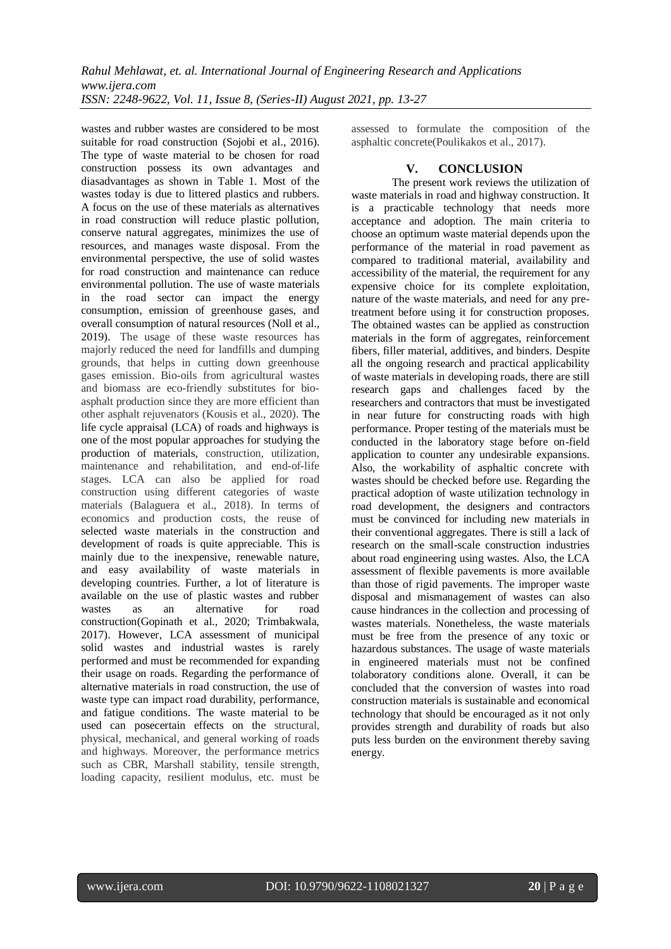wastes and rubber wastes are considered to be most suitable for road construction (Sojobi et al., 2016). The type of waste material to be chosen for road construction possess its own advantages and diasadvantages as shown in Table 1. Most of the wastes today is due to littered plastics and rubbers. A focus on the use of these materials as alternatives in road construction will reduce plastic pollution, conserve natural aggregates, minimizes the use of resources, and manages waste disposal. From the environmental perspective, the use of solid wastes for road construction and maintenance can reduce environmental pollution. The use of waste materials in the road sector can impact the energy consumption, emission of greenhouse gases, and overall consumption of natural resources (Noll et al., 2019). The usage of these waste resources has majorly reduced the need for landfills and dumping grounds, that helps in cutting down greenhouse gases emission. Bio-oils from agricultural wastes and biomass are eco-friendly substitutes for bioasphalt production since they are more efficient than other asphalt rejuvenators (Kousis et al., 2020). The life cycle appraisal (LCA) of roads and highways is one of the most popular approaches for studying the production of materials, construction, utilization, maintenance and rehabilitation, and end-of-life stages. LCA can also be applied for road construction using different categories of waste materials (Balaguera et al., 2018). In terms of economics and production costs, the reuse of selected waste materials in the construction and development of roads is quite appreciable. This is mainly due to the inexpensive, renewable nature, and easy availability of waste materials in developing countries. Further, a lot of literature is available on the use of plastic wastes and rubber wastes as an alternative for road construction(Gopinath et al., 2020; Trimbakwala, 2017). However, LCA assessment of municipal solid wastes and industrial wastes is rarely performed and must be recommended for expanding their usage on roads. Regarding the performance of alternative materials in road construction, the use of waste type can impact road durability, performance, and fatigue conditions. The waste material to be used can posecertain effects on the structural, physical, mechanical, and general working of roads and highways. Moreover, the performance metrics such as CBR, Marshall stability, tensile strength, loading capacity, resilient modulus, etc. must be assessed to formulate the composition of the asphaltic concrete(Poulikakos et al., 2017).

### **V. CONCLUSION**

The present work reviews the utilization of waste materials in road and highway construction. It is a practicable technology that needs more acceptance and adoption. The main criteria to choose an optimum waste material depends upon the performance of the material in road pavement as compared to traditional material, availability and accessibility of the material, the requirement for any expensive choice for its complete exploitation, nature of the waste materials, and need for any pretreatment before using it for construction proposes. The obtained wastes can be applied as construction materials in the form of aggregates, reinforcement fibers, filler material, additives, and binders. Despite all the ongoing research and practical applicability of waste materials in developing roads, there are still research gaps and challenges faced by the researchers and contractors that must be investigated in near future for constructing roads with high performance. Proper testing of the materials must be conducted in the laboratory stage before on-field application to counter any undesirable expansions. Also, the workability of asphaltic concrete with wastes should be checked before use. Regarding the practical adoption of waste utilization technology in road development, the designers and contractors must be convinced for including new materials in their conventional aggregates. There is still a lack of research on the small-scale construction industries about road engineering using wastes. Also, the LCA assessment of flexible pavements is more available than those of rigid pavements. The improper waste disposal and mismanagement of wastes can also cause hindrances in the collection and processing of wastes materials. Nonetheless, the waste materials must be free from the presence of any toxic or hazardous substances. The usage of waste materials in engineered materials must not be confined tolaboratory conditions alone. Overall, it can be concluded that the conversion of wastes into road construction materials is sustainable and economical technology that should be encouraged as it not only provides strength and durability of roads but also puts less burden on the environment thereby saving energy.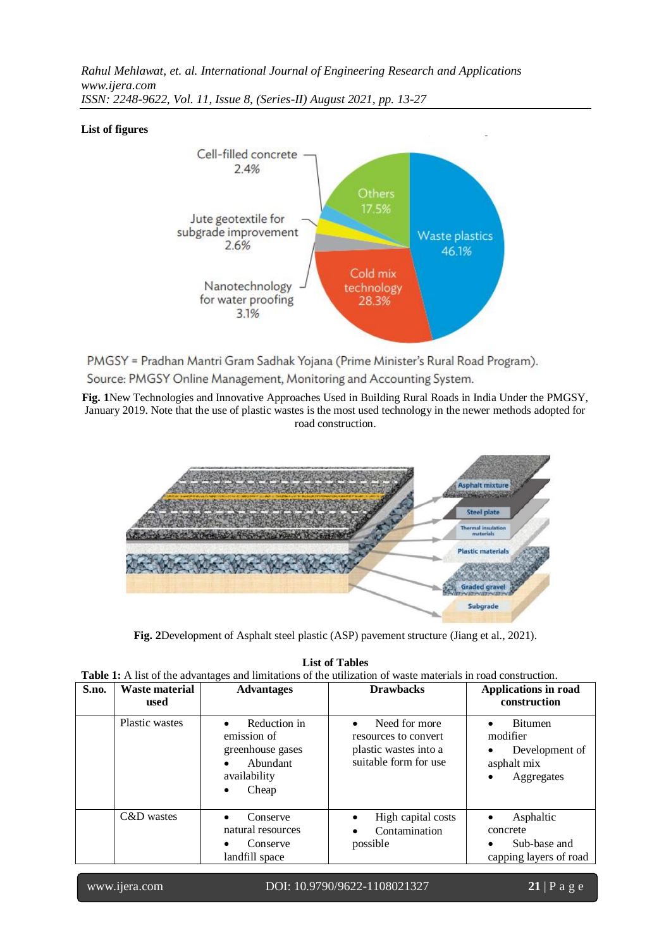*Rahul Mehlawat, et. al. International Journal of Engineering Research and Applications www.ijera.com ISSN: 2248-9622, Vol. 11, Issue 8, (Series-II) August 2021, pp. 13-27*

#### **List of figures**



PMGSY = Pradhan Mantri Gram Sadhak Yojana (Prime Minister's Rural Road Program). Source: PMGSY Online Management, Monitoring and Accounting System.

**Fig. 1**New Technologies and Innovative Approaches Used in Building Rural Roads in India Under the PMGSY, January 2019. Note that the use of plastic wastes is the most used technology in the newer methods adopted for road construction.



**Fig. 2**Development of Asphalt steel plastic (ASP) pavement structure (Jiang et al., 2021).

## **List of Tables**

|  |  | <b>Table 1:</b> A list of the advantages and limitations of the utilization of waste materials in road construction. |
|--|--|----------------------------------------------------------------------------------------------------------------------|
|--|--|----------------------------------------------------------------------------------------------------------------------|

| S.no. | Waste material<br>used | <b>Advantages</b>                                                                                              | <b>Drawbacks</b>                                                                                     | <b>Applications in road</b><br>construction                                                         |
|-------|------------------------|----------------------------------------------------------------------------------------------------------------|------------------------------------------------------------------------------------------------------|-----------------------------------------------------------------------------------------------------|
|       | Plastic wastes         | Reduction in<br>emission of<br>greenhouse gases<br>Abundant<br>$\bullet$<br>availability<br>Cheap<br>$\bullet$ | Need for more<br>$\bullet$<br>resources to convert<br>plastic wastes into a<br>suitable form for use | <b>Bitumen</b><br>$\bullet$<br>modifier<br>Development of<br>asphalt mix<br>Aggregates<br>$\bullet$ |
|       | C&D wastes             | Conserve<br>$\bullet$<br>natural resources<br>Conserve<br>$\bullet$<br>landfill space                          | High capital costs<br>Contamination<br>possible                                                      | Asphaltic<br>$\bullet$<br>concrete<br>Sub-base and<br>$\bullet$<br>capping layers of road           |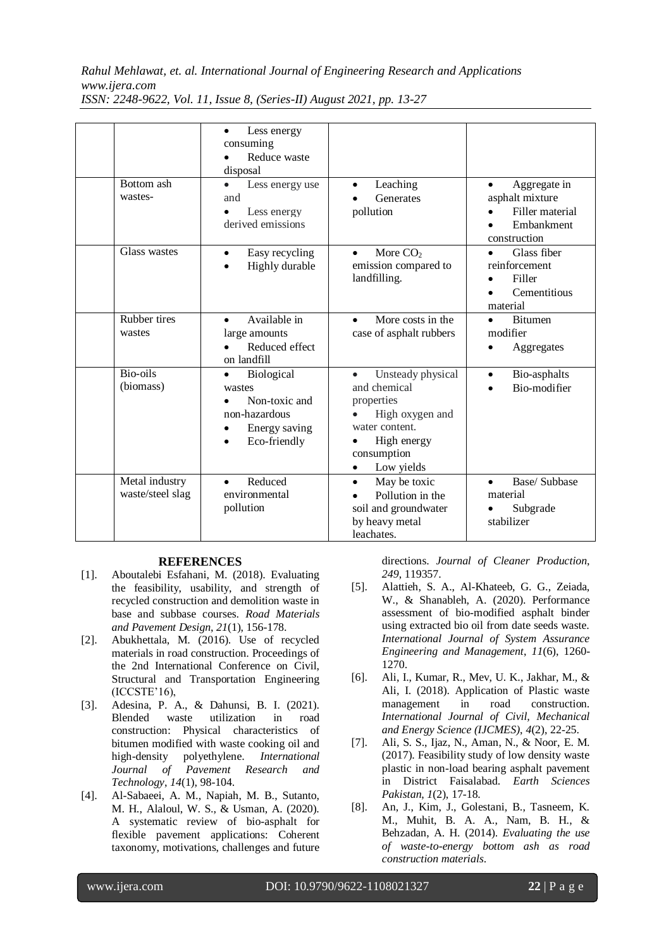*Rahul Mehlawat, et. al. International Journal of Engineering Research and Applications www.ijera.com*

|                                    | Less energy<br>$\bullet$<br>consuming<br>Reduce waste<br>disposal                                                              |                                                                                                                                                            |                                                                                               |
|------------------------------------|--------------------------------------------------------------------------------------------------------------------------------|------------------------------------------------------------------------------------------------------------------------------------------------------------|-----------------------------------------------------------------------------------------------|
| Bottom ash<br>wastes-              | Less energy use<br>$\bullet$<br>and<br>Less energy<br>$\bullet$<br>derived emissions                                           | Leaching<br>$\bullet$<br>Generates<br>pollution                                                                                                            | Aggregate in<br>$\bullet$<br>asphalt mixture<br>Filler material<br>Embankment<br>construction |
| Glass wastes                       | Easy recycling<br>$\bullet$<br>Highly durable<br>$\bullet$                                                                     | More $CO2$<br>$\bullet$<br>emission compared to<br>landfilling.                                                                                            | Glass fiber<br>$\bullet$<br>reinforcement<br>Filler<br>Cementitious<br>$\bullet$<br>material  |
| Rubber tires<br>wastes             | Available in<br>$\bullet$<br>large amounts<br>Reduced effect<br>on landfill                                                    | More costs in the<br>$\bullet$<br>case of asphalt rubbers                                                                                                  | <b>Bitumen</b><br>$\bullet$<br>modifier<br>Aggregates<br>٠                                    |
| Bio-oils<br>(biomass)              | Biological<br>$\bullet$<br>wastes<br>Non-toxic and<br>non-hazardous<br>Energy saving<br>$\bullet$<br>Eco-friendly<br>$\bullet$ | Unsteady physical<br>$\bullet$<br>and chemical<br>properties<br>High oxygen and<br>water content.<br>High energy<br>consumption<br>Low yields<br>$\bullet$ | Bio-asphalts<br>$\bullet$<br>Bio-modifier                                                     |
| Metal industry<br>waste/steel slag | Reduced<br>$\bullet$<br>environmental<br>pollution                                                                             | May be toxic<br>$\bullet$<br>Pollution in the<br>soil and groundwater<br>by heavy metal<br>leachates.                                                      | Base/ Subbase<br>$\bullet$<br>material<br>Subgrade<br>stabilizer                              |

*ISSN: 2248-9622, Vol. 11, Issue 8, (Series-II) August 2021, pp. 13-27*

#### **REFERENCES**

- [1]. Aboutalebi Esfahani, M. (2018). Evaluating the feasibility, usability, and strength of recycled construction and demolition waste in base and subbase courses. *Road Materials and Pavement Design*, *21*(1), 156-178.
- [2]. Abukhettala, M. (2016). Use of recycled materials in road construction. Proceedings of the 2nd International Conference on Civil, Structural and Transportation Engineering (ICCSTE'16),
- [3]. Adesina, P. A., & Dahunsi, B. I. (2021). Blended waste utilization in road construction: Physical characteristics of bitumen modified with waste cooking oil and high-density polyethylene. *International Journal of Pavement Research and Technology*, *14*(1), 98-104.
- [4]. Al-Sabaeei, A. M., Napiah, M. B., Sutanto, M. H., Alaloul, W. S., & Usman, A. (2020). A systematic review of bio-asphalt for flexible pavement applications: Coherent taxonomy, motivations, challenges and future

directions. *Journal of Cleaner Production*, *249*, 119357.

- [5]. Alattieh, S. A., Al-Khateeb, G. G., Zeiada, W., & Shanableh, A. (2020). Performance assessment of bio-modified asphalt binder using extracted bio oil from date seeds waste. *International Journal of System Assurance Engineering and Management*, *11*(6), 1260- 1270.
- [6]. Ali, I., Kumar, R., Mev, U. K., Jakhar, M., & Ali, I. (2018). Application of Plastic waste management in road construction. *International Journal of Civil, Mechanical and Energy Science (IJCMES)*, *4*(2), 22-25.
- [7]. Ali, S. S., Ijaz, N., Aman, N., & Noor, E. M. (2017). Feasibility study of low density waste plastic in non-load bearing asphalt pavement in District Faisalabad. *Earth Sciences Pakistan*, *1*(2), 17-18.
- [8]. An, J., Kim, J., Golestani, B., Tasneem, K. M., Muhit, B. A. A., Nam, B. H., & Behzadan, A. H. (2014). *Evaluating the use of waste-to-energy bottom ash as road construction materials*.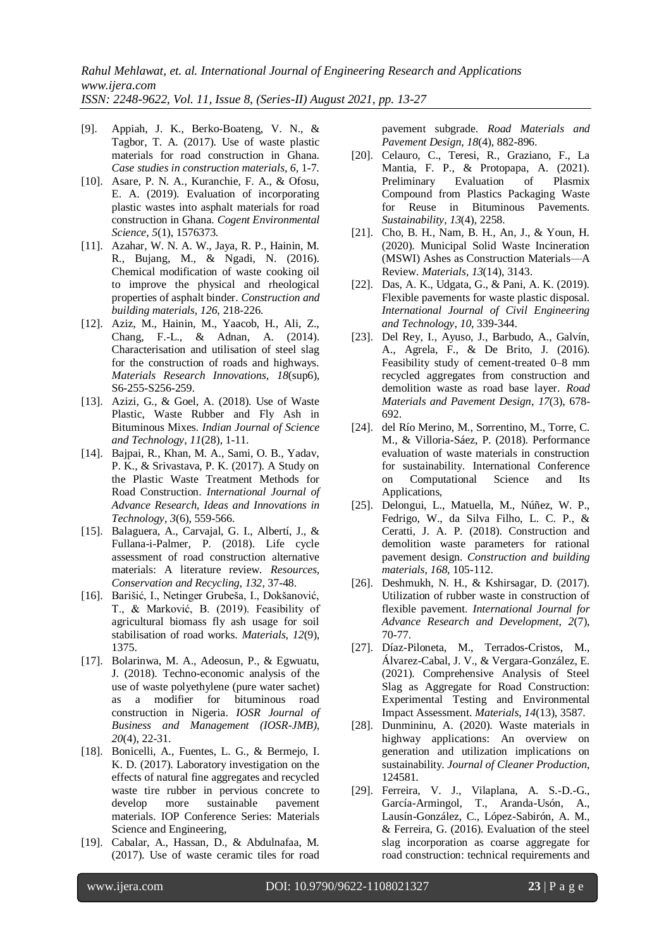- [9]. Appiah, J. K., Berko-Boateng, V. N., & Tagbor, T. A. (2017). Use of waste plastic materials for road construction in Ghana. *Case studies in construction materials*, *6*, 1-7.
- [10]. Asare, P. N. A., Kuranchie, F. A., & Ofosu, E. A. (2019). Evaluation of incorporating plastic wastes into asphalt materials for road construction in Ghana. *Cogent Environmental Science*, *5*(1), 1576373.
- [11]. Azahar, W. N. A. W., Jaya, R. P., Hainin, M. R., Bujang, M., & Ngadi, N. (2016). Chemical modification of waste cooking oil to improve the physical and rheological properties of asphalt binder. *Construction and building materials*, *126*, 218-226.
- [12]. Aziz, M., Hainin, M., Yaacob, H., Ali, Z., Chang, F.-L., & Adnan, A. (2014). Characterisation and utilisation of steel slag for the construction of roads and highways. *Materials Research Innovations*, *18*(sup6), S6-255-S256-259.
- [13]. Azizi, G., & Goel, A. (2018). Use of Waste Plastic, Waste Rubber and Fly Ash in Bituminous Mixes. *Indian Journal of Science and Technology*, *11*(28), 1-11.
- [14]. Bajpai, R., Khan, M. A., Sami, O. B., Yadav, P. K., & Srivastava, P. K. (2017). A Study on the Plastic Waste Treatment Methods for Road Construction. *International Journal of Advance Research, Ideas and Innovations in Technology*, *3*(6), 559-566.
- [15]. Balaguera, A., Carvajal, G. I., Albertí, J., & Fullana-i-Palmer, P. (2018). Life cycle assessment of road construction alternative materials: A literature review. *Resources, Conservation and Recycling*, *132*, 37-48.
- [16]. Barišić, I., Netinger Grubeša, I., Dokšanović, T., & Marković, B. (2019). Feasibility of agricultural biomass fly ash usage for soil stabilisation of road works. *Materials*, *12*(9), 1375.
- [17]. Bolarinwa, M. A., Adeosun, P., & Egwuatu, J. (2018). Techno-economic analysis of the use of waste polyethylene (pure water sachet) as a modifier for bituminous road construction in Nigeria. *IOSR Journal of Business and Management (IOSR-JMB)*, *20*(4), 22-31.
- [18]. Bonicelli, A., Fuentes, L. G., & Bermejo, I. K. D. (2017). Laboratory investigation on the effects of natural fine aggregates and recycled waste tire rubber in pervious concrete to develop more sustainable pavement materials. IOP Conference Series: Materials Science and Engineering,
- [19]. Cabalar, A., Hassan, D., & Abdulnafaa, M. (2017). Use of waste ceramic tiles for road

pavement subgrade. *Road Materials and Pavement Design*, *18*(4), 882-896.

- [20]. Celauro, C., Teresi, R., Graziano, F., La Mantia, F. P., & Protopapa, A. (2021). Preliminary Evaluation of Plasmix Compound from Plastics Packaging Waste for Reuse in Bituminous Pavements. *Sustainability*, *13*(4), 2258.
- [21]. Cho, B. H., Nam, B. H., An, J., & Youn, H. (2020). Municipal Solid Waste Incineration (MSWI) Ashes as Construction Materials—A Review. *Materials*, *13*(14), 3143.
- [22]. Das, A. K., Udgata, G., & Pani, A. K. (2019). Flexible pavements for waste plastic disposal. *International Journal of Civil Engineering and Technology*, *10*, 339-344.
- [23]. Del Rey, I., Ayuso, J., Barbudo, A., Galvín, A., Agrela, F., & De Brito, J. (2016). Feasibility study of cement-treated 0–8 mm recycled aggregates from construction and demolition waste as road base layer. *Road Materials and Pavement Design*, *17*(3), 678- 692.
- [24]. del Río Merino, M., Sorrentino, M., Torre, C. M., & Villoria-Sáez, P. (2018). Performance evaluation of waste materials in construction for sustainability. International Conference on Computational Science and Its Applications,
- [25]. Delongui, L., Matuella, M., Núñez, W. P., Fedrigo, W., da Silva Filho, L. C. P., & Ceratti, J. A. P. (2018). Construction and demolition waste parameters for rational pavement design. *Construction and building materials*, *168*, 105-112.
- [26]. Deshmukh, N. H., & Kshirsagar, D. (2017). Utilization of rubber waste in construction of flexible pavement. *International Journal for Advance Research and Development*, *2*(7), 70-77.
- [27]. Díaz-Piloneta, M., Terrados-Cristos, M., Álvarez-Cabal, J. V., & Vergara-González, E. (2021). Comprehensive Analysis of Steel Slag as Aggregate for Road Construction: Experimental Testing and Environmental Impact Assessment. *Materials*, *14*(13), 3587.
- [28]. Dunmininu, A. (2020). Waste materials in highway applications: An overview on generation and utilization implications on sustainability. *Journal of Cleaner Production*, 124581.
- [29]. Ferreira, V. J., Vilaplana, A. S.-D.-G., García-Armingol, T., Aranda-Usón, A., Lausín-González, C., López-Sabirón, A. M., & Ferreira, G. (2016). Evaluation of the steel slag incorporation as coarse aggregate for road construction: technical requirements and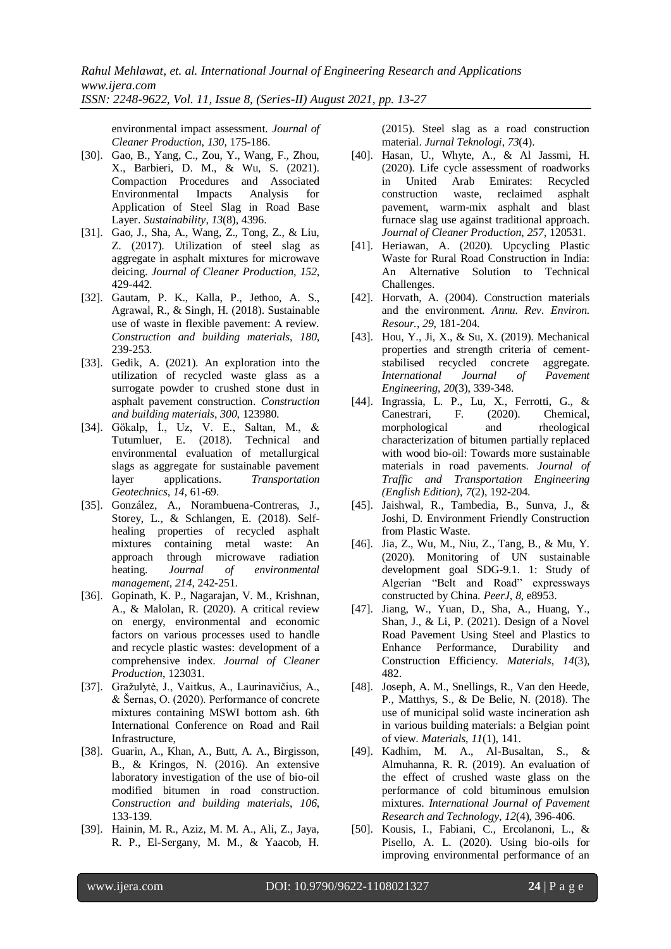environmental impact assessment. *Journal of Cleaner Production*, *130*, 175-186.

- [30]. Gao, B., Yang, C., Zou, Y., Wang, F., Zhou, X., Barbieri, D. M., & Wu, S. (2021). Compaction Procedures and Associated Environmental Impacts Analysis for Application of Steel Slag in Road Base Layer. *Sustainability*, *13*(8), 4396.
- [31]. Gao, J., Sha, A., Wang, Z., Tong, Z., & Liu, Z. (2017). Utilization of steel slag as aggregate in asphalt mixtures for microwave deicing. *Journal of Cleaner Production*, *152*, 429-442.
- [32]. Gautam, P. K., Kalla, P., Jethoo, A. S., Agrawal, R., & Singh, H. (2018). Sustainable use of waste in flexible pavement: A review. *Construction and building materials*, *180*, 239-253.
- [33]. Gedik, A. (2021). An exploration into the utilization of recycled waste glass as a surrogate powder to crushed stone dust in asphalt pavement construction. *Construction and building materials*, *300*, 123980.
- [34]. Gökalp, İ., Uz, V. E., Saltan, M., & Tutumluer, E. (2018). Technical and environmental evaluation of metallurgical slags as aggregate for sustainable pavement layer applications. *Transportation Geotechnics*, *14*, 61-69.
- [35]. González, A., Norambuena-Contreras, J., Storey, L., & Schlangen, E. (2018). Selfhealing properties of recycled asphalt mixtures containing metal waste: An approach through microwave radiation heating. *Journal of environmental management*, *214*, 242-251.
- [36]. Gopinath, K. P., Nagarajan, V. M., Krishnan, A., & Malolan, R. (2020). A critical review on energy, environmental and economic factors on various processes used to handle and recycle plastic wastes: development of a comprehensive index. *Journal of Cleaner Production*, 123031.
- [37]. Gražulytė, J., Vaitkus, A., Laurinavičius, A., & Šernas, O. (2020). Performance of concrete mixtures containing MSWI bottom ash. 6th International Conference on Road and Rail Infrastructure,
- [38]. Guarin, A., Khan, A., Butt, A. A., Birgisson, B., & Kringos, N. (2016). An extensive laboratory investigation of the use of bio-oil modified bitumen in road construction. *Construction and building materials*, *106*, 133-139.
- [39]. Hainin, M. R., Aziz, M. M. A., Ali, Z., Jaya, R. P., El-Sergany, M. M., & Yaacob, H.

(2015). Steel slag as a road construction material. *Jurnal Teknologi*, *73*(4).

- [40]. Hasan, U., Whyte, A., & Al Jassmi, H. (2020). Life cycle assessment of roadworks in United Arab Emirates: Recycled construction waste, reclaimed asphalt pavement, warm-mix asphalt and blast furnace slag use against traditional approach. *Journal of Cleaner Production*, *257*, 120531.
- [41]. Heriawan, A. (2020). Upcycling Plastic Waste for Rural Road Construction in India: An Alternative Solution to Technical Challenges.
- [42]. Horvath, A. (2004). Construction materials and the environment. *Annu. Rev. Environ. Resour.*, *29*, 181-204.
- [43]. Hou, Y., Ji, X., & Su, X. (2019). Mechanical properties and strength criteria of cementstabilised recycled concrete aggregate. *International Journal of Pavement Engineering*, *20*(3), 339-348.
- [44]. Ingrassia, L. P., Lu, X., Ferrotti, G., & Canestrari, F. (2020). Chemical, morphological and rheological characterization of bitumen partially replaced with wood bio-oil: Towards more sustainable materials in road pavements. *Journal of Traffic and Transportation Engineering (English Edition)*, *7*(2), 192-204.
- [45]. Jaishwal, R., Tambedia, B., Sunva, J., & Joshi, D. Environment Friendly Construction from Plastic Waste.
- [46]. Jia, Z., Wu, M., Niu, Z., Tang, B., & Mu, Y. (2020). Monitoring of UN sustainable development goal SDG-9.1. 1: Study of Algerian "Belt and Road" expressways constructed by China. *PeerJ*, *8*, e8953.
- [47]. Jiang, W., Yuan, D., Sha, A., Huang, Y., Shan, J., & Li, P. (2021). Design of a Novel Road Pavement Using Steel and Plastics to Enhance Performance, Durability and Construction Efficiency. *Materials*, *14*(3), 482.
- [48]. Joseph, A. M., Snellings, R., Van den Heede, P., Matthys, S., & De Belie, N. (2018). The use of municipal solid waste incineration ash in various building materials: a Belgian point of view. *Materials*, *11*(1), 141.
- [49]. Kadhim, M. A., Al-Busaltan, S., & Almuhanna, R. R. (2019). An evaluation of the effect of crushed waste glass on the performance of cold bituminous emulsion mixtures. *International Journal of Pavement Research and Technology*, *12*(4), 396-406.
- [50]. Kousis, I., Fabiani, C., Ercolanoni, L., & Pisello, A. L. (2020). Using bio-oils for improving environmental performance of an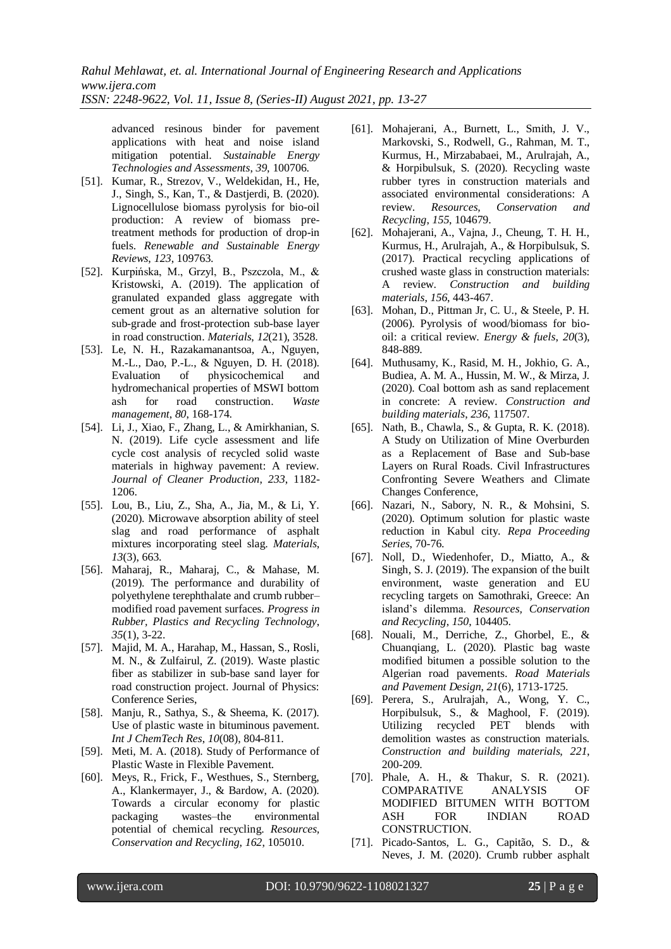advanced resinous binder for pavement applications with heat and noise island mitigation potential. *Sustainable Energy Technologies and Assessments*, *39*, 100706.

- [51]. Kumar, R., Strezov, V., Weldekidan, H., He, J., Singh, S., Kan, T., & Dastjerdi, B. (2020). Lignocellulose biomass pyrolysis for bio-oil production: A review of biomass pretreatment methods for production of drop-in fuels. *Renewable and Sustainable Energy Reviews*, *123*, 109763.
- [52]. Kurpińska, M., Grzyl, B., Pszczola, M., & Kristowski, A. (2019). The application of granulated expanded glass aggregate with cement grout as an alternative solution for sub-grade and frost-protection sub-base layer in road construction. *Materials*, *12*(21), 3528.
- [53]. Le, N. H., Razakamanantsoa, A., Nguyen, M.-L., Dao, P.-L., & Nguyen, D. H. (2018). Evaluation of physicochemical and hydromechanical properties of MSWI bottom ash for road construction. *Waste management*, *80*, 168-174.
- [54]. Li, J., Xiao, F., Zhang, L., & Amirkhanian, S. N. (2019). Life cycle assessment and life cycle cost analysis of recycled solid waste materials in highway pavement: A review. *Journal of Cleaner Production*, *233*, 1182- 1206.
- [55]. Lou, B., Liu, Z., Sha, A., Jia, M., & Li, Y. (2020). Microwave absorption ability of steel slag and road performance of asphalt mixtures incorporating steel slag. *Materials*, *13*(3), 663.
- [56]. Maharaj, R., Maharaj, C., & Mahase, M. (2019). The performance and durability of polyethylene terephthalate and crumb rubber– modified road pavement surfaces. *Progress in Rubber, Plastics and Recycling Technology*, *35*(1), 3-22.
- [57]. Majid, M. A., Harahap, M., Hassan, S., Rosli, M. N., & Zulfairul, Z. (2019). Waste plastic fiber as stabilizer in sub-base sand layer for road construction project. Journal of Physics: Conference Series,
- [58]. Manju, R., Sathya, S., & Sheema, K. (2017). Use of plastic waste in bituminous pavement. *Int J ChemTech Res*, *10*(08), 804-811.
- [59]. Meti, M. A. (2018). Study of Performance of Plastic Waste in Flexible Pavement.
- [60]. Meys, R., Frick, F., Westhues, S., Sternberg, A., Klankermayer, J., & Bardow, A. (2020). Towards a circular economy for plastic packaging wastes–the environmental potential of chemical recycling. *Resources, Conservation and Recycling*, *162*, 105010.
- [61]. Mohajerani, A., Burnett, L., Smith, J. V., Markovski, S., Rodwell, G., Rahman, M. T., Kurmus, H., Mirzababaei, M., Arulrajah, A., & Horpibulsuk, S. (2020). Recycling waste rubber tyres in construction materials and associated environmental considerations: A review. *Resources, Conservation and Recycling*, *155*, 104679.
- [62]. Mohajerani, A., Vajna, J., Cheung, T. H. H., Kurmus, H., Arulrajah, A., & Horpibulsuk, S. (2017). Practical recycling applications of crushed waste glass in construction materials: A review. *Construction and building materials*, *156*, 443-467.
- [63]. Mohan, D., Pittman Jr, C. U., & Steele, P. H. (2006). Pyrolysis of wood/biomass for biooil: a critical review. *Energy & fuels*, *20*(3), 848-889.
- [64]. Muthusamy, K., Rasid, M. H., Jokhio, G. A., Budiea, A. M. A., Hussin, M. W., & Mirza, J. (2020). Coal bottom ash as sand replacement in concrete: A review. *Construction and building materials*, *236*, 117507.
- [65]. Nath, B., Chawla, S., & Gupta, R. K. (2018). A Study on Utilization of Mine Overburden as a Replacement of Base and Sub-base Layers on Rural Roads. Civil Infrastructures Confronting Severe Weathers and Climate Changes Conference,
- [66]. Nazari, N., Sabory, N. R., & Mohsini, S. (2020). Optimum solution for plastic waste reduction in Kabul city. *Repa Proceeding Series*, 70-76.
- [67]. Noll, D., Wiedenhofer, D., Miatto, A., & Singh, S. J. (2019). The expansion of the built environment, waste generation and EU recycling targets on Samothraki, Greece: An island's dilemma. *Resources, Conservation and Recycling*, *150*, 104405.
- [68]. Nouali, M., Derriche, Z., Ghorbel, E., & Chuanqiang, L. (2020). Plastic bag waste modified bitumen a possible solution to the Algerian road pavements. *Road Materials and Pavement Design*, *21*(6), 1713-1725.
- [69]. Perera, S., Arulrajah, A., Wong, Y. C., Horpibulsuk, S., & Maghool, F. (2019). Utilizing recycled PET blends with demolition wastes as construction materials. *Construction and building materials*, *221*, 200-209.
- [70]. Phale, A. H., & Thakur, S. R. (2021). COMPARATIVE ANALYSIS OF MODIFIED BITUMEN WITH BOTTOM ASH FOR INDIAN ROAD CONSTRUCTION.
- [71]. Picado-Santos, L. G., Capitão, S. D., & Neves, J. M. (2020). Crumb rubber asphalt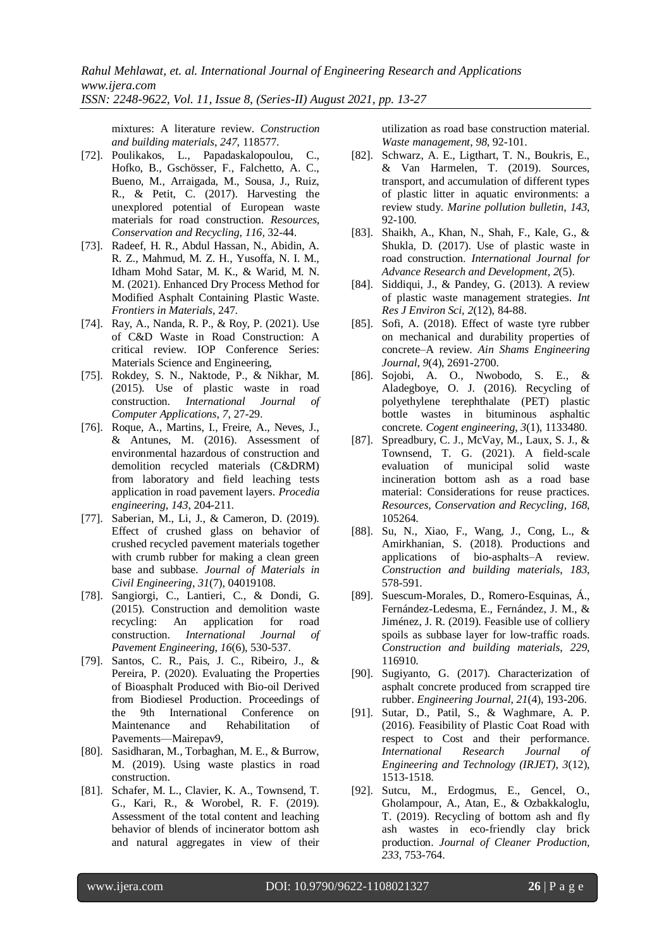mixtures: A literature review. *Construction and building materials*, *247*, 118577.

- [72]. Poulikakos, L., Papadaskalopoulou, C., Hofko, B., Gschösser, F., Falchetto, A. C., Bueno, M., Arraigada, M., Sousa, J., Ruiz, R., & Petit, C. (2017). Harvesting the unexplored potential of European waste materials for road construction. *Resources, Conservation and Recycling*, *116*, 32-44.
- [73]. Radeef, H. R., Abdul Hassan, N., Abidin, A. R. Z., Mahmud, M. Z. H., Yusoffa, N. I. M., Idham Mohd Satar, M. K., & Warid, M. N. M. (2021). Enhanced Dry Process Method for Modified Asphalt Containing Plastic Waste. *Frontiers in Materials*, 247.
- [74]. Ray, A., Nanda, R. P., & Roy, P. (2021). Use of C&D Waste in Road Construction: A critical review. IOP Conference Series: Materials Science and Engineering,
- [75]. Rokdey, S. N., Naktode, P., & Nikhar, M. (2015). Use of plastic waste in road construction. *International Journal of Computer Applications*, *7*, 27-29.
- [76]. Roque, A., Martins, I., Freire, A., Neves, J., & Antunes, M. (2016). Assessment of environmental hazardous of construction and demolition recycled materials (C&DRM) from laboratory and field leaching tests application in road pavement layers. *Procedia engineering*, *143*, 204-211.
- [77]. Saberian, M., Li, J., & Cameron, D. (2019). Effect of crushed glass on behavior of crushed recycled pavement materials together with crumb rubber for making a clean green base and subbase. *Journal of Materials in Civil Engineering*, *31*(7), 04019108.
- [78]. Sangiorgi, C., Lantieri, C., & Dondi, G. (2015). Construction and demolition waste recycling: An application for road construction. *International Journal of Pavement Engineering*, *16*(6), 530-537.
- [79]. Santos, C. R., Pais, J. C., Ribeiro, J., & Pereira, P. (2020). Evaluating the Properties of Bioasphalt Produced with Bio-oil Derived from Biodiesel Production. Proceedings of the 9th International Conference on Maintenance and Rehabilitation of Pavements—Mairepav9,
- [80]. Sasidharan, M., Torbaghan, M. E., & Burrow, M. (2019). Using waste plastics in road construction.
- [81]. Schafer, M. L., Clavier, K. A., Townsend, T. G., Kari, R., & Worobel, R. F. (2019). Assessment of the total content and leaching behavior of blends of incinerator bottom ash and natural aggregates in view of their

utilization as road base construction material. *Waste management*, *98*, 92-101.

- [82]. Schwarz, A. E., Ligthart, T. N., Boukris, E., & Van Harmelen, T. (2019). Sources, transport, and accumulation of different types of plastic litter in aquatic environments: a review study. *Marine pollution bulletin*, *143*, 92-100.
- [83]. Shaikh, A., Khan, N., Shah, F., Kale, G., & Shukla, D. (2017). Use of plastic waste in road construction. *International Journal for Advance Research and Development*, *2*(5).
- [84]. Siddiqui, J., & Pandey, G. (2013). A review of plastic waste management strategies. *Int Res J Environ Sci*, *2*(12), 84-88.
- [85]. Sofi, A. (2018). Effect of waste tyre rubber on mechanical and durability properties of concrete–A review. *Ain Shams Engineering Journal*, *9*(4), 2691-2700.
- [86]. Sojobi, A. O., Nwobodo, S. E., & Aladegboye, O. J. (2016). Recycling of polyethylene terephthalate (PET) plastic bottle wastes in bituminous asphaltic concrete. *Cogent engineering*, *3*(1), 1133480.
- [87]. Spreadbury, C. J., McVay, M., Laux, S. J., & Townsend, T. G. (2021). A field-scale evaluation of municipal solid waste incineration bottom ash as a road base material: Considerations for reuse practices. *Resources, Conservation and Recycling*, *168*, 105264.
- [88]. Su, N., Xiao, F., Wang, J., Cong, L., & Amirkhanian, S. (2018). Productions and applications of bio-asphalts–A review. *Construction and building materials*, *183*, 578-591.
- [89]. Suescum-Morales, D., Romero-Esquinas, Á., Fernández-Ledesma, E., Fernández, J. M., & Jiménez, J. R. (2019). Feasible use of colliery spoils as subbase layer for low-traffic roads. *Construction and building materials*, *229*, 116910.
- [90]. Sugiyanto, G. (2017). Characterization of asphalt concrete produced from scrapped tire rubber. *Engineering Journal*, *21*(4), 193-206.
- [91]. Sutar, D., Patil, S., & Waghmare, A. P. (2016). Feasibility of Plastic Coat Road with respect to Cost and their performance. *International Research Journal of Engineering and Technology (IRJET)*, *3*(12), 1513-1518.
- [92]. Sutcu, M., Erdogmus, E., Gencel, O., Gholampour, A., Atan, E., & Ozbakkaloglu, T. (2019). Recycling of bottom ash and fly ash wastes in eco-friendly clay brick production. *Journal of Cleaner Production*, *233*, 753-764.